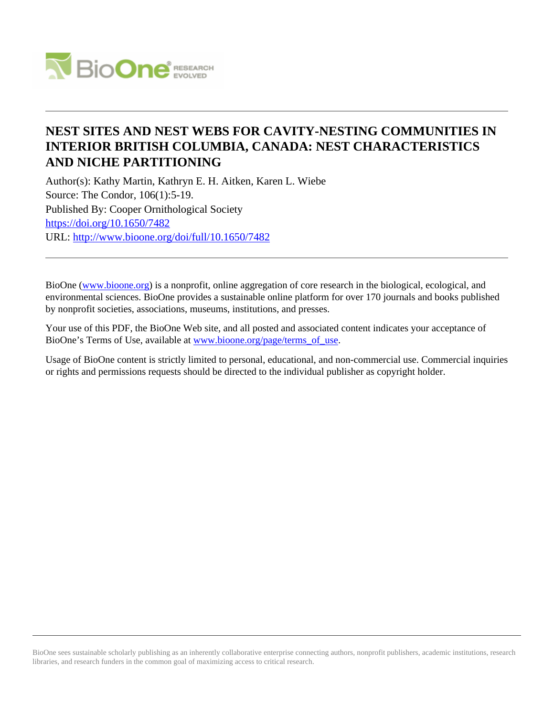

# **NEST SITES AND NEST WEBS FOR CAVITY-NESTING COMMUNITIES IN INTERIOR BRITISH COLUMBIA, CANADA: NEST CHARACTERISTICS AND NICHE PARTITIONING**

Author(s): Kathy Martin, Kathryn E. H. Aitken, Karen L. Wiebe Source: The Condor, 106(1):5-19. Published By: Cooper Ornithological Society <https://doi.org/10.1650/7482> URL: <http://www.bioone.org/doi/full/10.1650/7482>

BioOne [\(www.bioone.org\)](http://www.bioone.org) is a nonprofit, online aggregation of core research in the biological, ecological, and environmental sciences. BioOne provides a sustainable online platform for over 170 journals and books published by nonprofit societies, associations, museums, institutions, and presses.

Your use of this PDF, the BioOne Web site, and all posted and associated content indicates your acceptance of BioOne's Terms of Use, available at [www.bioone.org/page/terms\\_of\\_use.](http://www.bioone.org/page/terms_of_use)

Usage of BioOne content is strictly limited to personal, educational, and non-commercial use. Commercial inquiries or rights and permissions requests should be directed to the individual publisher as copyright holder.

BioOne sees sustainable scholarly publishing as an inherently collaborative enterprise connecting authors, nonprofit publishers, academic institutions, research libraries, and research funders in the common goal of maximizing access to critical research.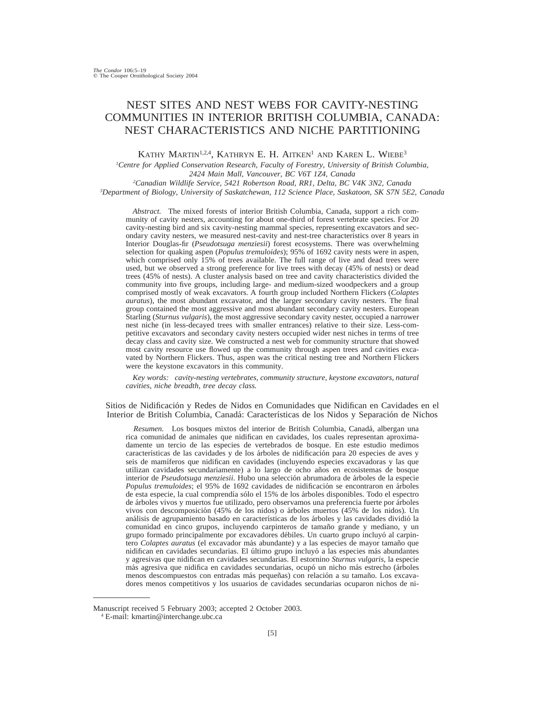## NEST SITES AND NEST WEBS FOR CAVITY-NESTING COMMUNITIES IN INTERIOR BRITISH COLUMBIA, CANADA: NEST CHARACTERISTICS AND NICHE PARTITIONING

KATHY MARTIN<sup>1,2,4</sup>, KATHRYN E. H. AITKEN<sup>1</sup> AND KAREN L. WIEBE<sup>3</sup>

*1Centre for Applied Conservation Research, Faculty of Forestry, University of British Columbia, 2424 Main Mall, Vancouver, BC V6T 1Z4, Canada 2Canadian Wildlife Service, 5421 Robertson Road, RR1, Delta, BC V4K 3N2, Canada*

*3Department of Biology, University of Saskatchewan, 112 Science Place, Saskatoon, SK S7N 5E2, Canada*

*Abstract.* The mixed forests of interior British Columbia, Canada, support a rich community of cavity nesters, accounting for about one-third of forest vertebrate species. For 20 cavity-nesting bird and six cavity-nesting mammal species, representing excavators and secondary cavity nesters, we measured nest-cavity and nest-tree characteristics over 8 years in Interior Douglas-fir (*Pseudotsuga menziesii*) forest ecosystems. There was overwhelming selection for quaking aspen (*Populus tremuloides*); 95% of 1692 cavity nests were in aspen, which comprised only 15% of trees available. The full range of live and dead trees were used, but we observed a strong preference for live trees with decay (45% of nests) or dead trees (45% of nests). A cluster analysis based on tree and cavity characteristics divided the community into five groups, including large- and medium-sized woodpeckers and a group comprised mostly of weak excavators. A fourth group included Northern Flickers (*Colaptes auratus*), the most abundant excavator, and the larger secondary cavity nesters. The final group contained the most aggressive and most abundant secondary cavity nesters. European Starling (*Sturnus vulgaris*), the most aggressive secondary cavity nester, occupied a narrower nest niche (in less-decayed trees with smaller entrances) relative to their size. Less-competitive excavators and secondary cavity nesters occupied wider nest niches in terms of tree decay class and cavity size. We constructed a nest web for community structure that showed most cavity resource use flowed up the community through aspen trees and cavities excavated by Northern Flickers. Thus, aspen was the critical nesting tree and Northern Flickers were the keystone excavators in this community.

*Key words: cavity-nesting vertebrates, community structure, keystone excavators, natural cavities, niche breadth, tree decay class.*

Sitios de Nidificación y Redes de Nidos en Comunidades que Nidifican en Cavidades en el Interior de British Columbia, Canadá: Características de los Nidos y Separación de Nichos

Resumen. Los bosques mixtos del interior de British Columbia, Canadá, albergan una rica comunidad de animales que nidifican en cavidades, los cuales representan aproximadamente un tercio de las especies de vertebrados de bosque. En este estudio medimos características de las cavidades y de los árboles de nidificación para 20 especies de aves y seis de mamı´feros que nidifican en cavidades (incluyendo especies excavadoras y las que utilizan cavidades secundariamente) a lo largo de ocho an˜os en ecosistemas de bosque interior de *Pseudotsuga menziesii*. Hubo una selección abrumadora de árboles de la especie *Populus tremuloides*; el 95% de 1692 cavidades de nidificación se encontraron en árboles de esta especie, la cual comprendía sólo el 15% de los árboles disponibles. Todo el espectro de árboles vivos y muertos fue utilizado, pero observamos una preferencia fuerte por árboles vivos con descomposicio´n (45% de los nidos) o a´rboles muertos (45% de los nidos). Un análisis de agrupamiento basado en características de los árboles y las cavidades dividió la comunidad en cinco grupos, incluyendo carpinteros de tamaño grande y mediano, y un grupo formado principalmente por excavadores débiles. Un cuarto grupo incluyó al carpintero *Colaptes auratus* (el excavador más abundante) y a las especies de mayor tamaño que nidifican en cavidades secundarias. El último grupo incluyó a las especies más abundantes y agresivas que nidifican en cavidades secundarias. El estornino *Sturnus vulgaris*, la especie más agresiva que nidifica en cavidades secundarias, ocupó un nicho más estrecho (árboles menos descompuestos con entradas más pequeñas) con relación a su tamaño. Los excavadores menos competitivos y los usuarios de cavidades secundarias ocuparon nichos de ni-

Manuscript received 5 February 2003; accepted 2 October 2003.

<sup>4</sup> E-mail: kmartin@interchange.ubc.ca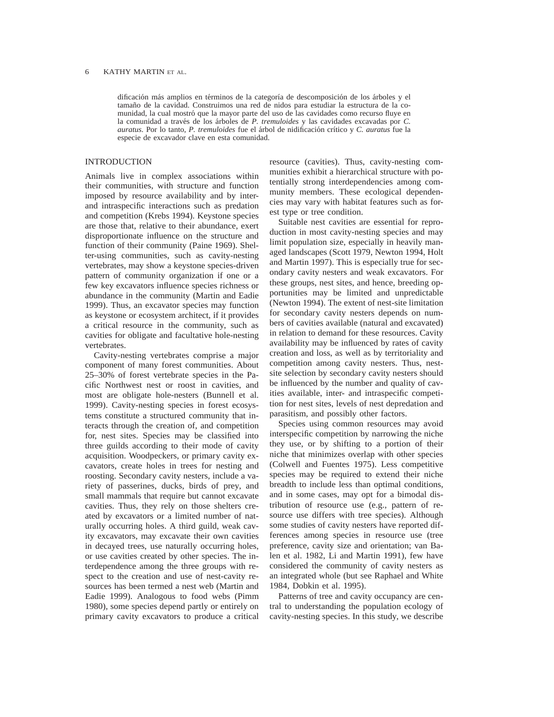dificación más amplios en términos de la categoría de descomposición de los árboles y el taman˜o de la cavidad. Construimos una red de nidos para estudiar la estructura de la comunidad, la cual mostró que la mayor parte del uso de las cavidades como recurso fluye en la comunidad a través de los árboles de *P. tremuloides* y las cavidades excavadas por *C*. *auratus*. Por lo tanto, *P. tremuloides* fue el a´rbol de nidificacio´n crı´tico y *C. auratus* fue la especie de excavador clave en esta comunidad.

## INTRODUCTION

Animals live in complex associations within their communities, with structure and function imposed by resource availability and by interand intraspecific interactions such as predation and competition (Krebs 1994). Keystone species are those that, relative to their abundance, exert disproportionate influence on the structure and function of their community (Paine 1969). Shelter-using communities, such as cavity-nesting vertebrates, may show a keystone species-driven pattern of community organization if one or a few key excavators influence species richness or abundance in the community (Martin and Eadie 1999). Thus, an excavator species may function as keystone or ecosystem architect, if it provides a critical resource in the community, such as cavities for obligate and facultative hole-nesting vertebrates.

Cavity-nesting vertebrates comprise a major component of many forest communities. About 25–30% of forest vertebrate species in the Pacific Northwest nest or roost in cavities, and most are obligate hole-nesters (Bunnell et al. 1999). Cavity-nesting species in forest ecosystems constitute a structured community that interacts through the creation of, and competition for, nest sites. Species may be classified into three guilds according to their mode of cavity acquisition. Woodpeckers, or primary cavity excavators, create holes in trees for nesting and roosting. Secondary cavity nesters, include a variety of passerines, ducks, birds of prey, and small mammals that require but cannot excavate cavities. Thus, they rely on those shelters created by excavators or a limited number of naturally occurring holes. A third guild, weak cavity excavators, may excavate their own cavities in decayed trees, use naturally occurring holes, or use cavities created by other species. The interdependence among the three groups with respect to the creation and use of nest-cavity resources has been termed a nest web (Martin and Eadie 1999). Analogous to food webs (Pimm 1980), some species depend partly or entirely on primary cavity excavators to produce a critical resource (cavities). Thus, cavity-nesting communities exhibit a hierarchical structure with potentially strong interdependencies among community members. These ecological dependencies may vary with habitat features such as forest type or tree condition.

Suitable nest cavities are essential for reproduction in most cavity-nesting species and may limit population size, especially in heavily managed landscapes (Scott 1979, Newton 1994, Holt and Martin 1997). This is especially true for secondary cavity nesters and weak excavators. For these groups, nest sites, and hence, breeding opportunities may be limited and unpredictable (Newton 1994). The extent of nest-site limitation for secondary cavity nesters depends on numbers of cavities available (natural and excavated) in relation to demand for these resources. Cavity availability may be influenced by rates of cavity creation and loss, as well as by territoriality and competition among cavity nesters. Thus, nestsite selection by secondary cavity nesters should be influenced by the number and quality of cavities available, inter- and intraspecific competition for nest sites, levels of nest depredation and parasitism, and possibly other factors.

Species using common resources may avoid interspecific competition by narrowing the niche they use, or by shifting to a portion of their niche that minimizes overlap with other species (Colwell and Fuentes 1975). Less competitive species may be required to extend their niche breadth to include less than optimal conditions, and in some cases, may opt for a bimodal distribution of resource use (e.g., pattern of resource use differs with tree species). Although some studies of cavity nesters have reported differences among species in resource use (tree preference, cavity size and orientation; van Balen et al. 1982, Li and Martin 1991), few have considered the community of cavity nesters as an integrated whole (but see Raphael and White 1984, Dobkin et al. 1995).

Patterns of tree and cavity occupancy are central to understanding the population ecology of cavity-nesting species. In this study, we describe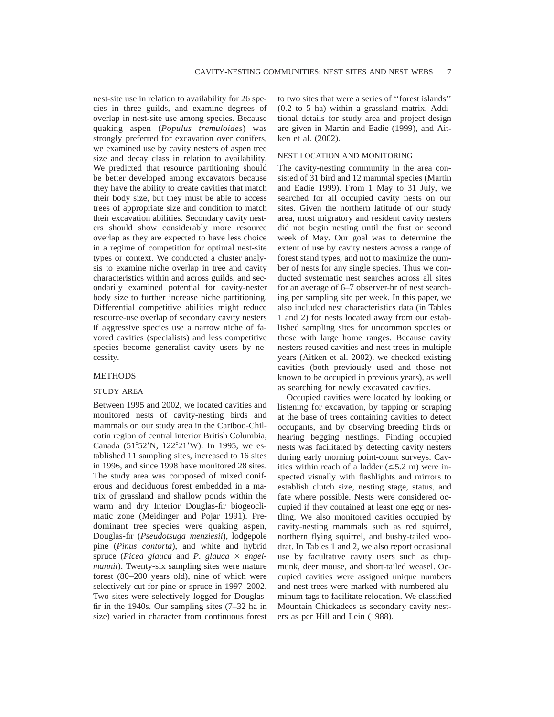nest-site use in relation to availability for 26 species in three guilds, and examine degrees of overlap in nest-site use among species. Because quaking aspen (*Populus tremuloides*) was strongly preferred for excavation over conifers, we examined use by cavity nesters of aspen tree size and decay class in relation to availability. We predicted that resource partitioning should be better developed among excavators because they have the ability to create cavities that match their body size, but they must be able to access trees of appropriate size and condition to match their excavation abilities. Secondary cavity nesters should show considerably more resource overlap as they are expected to have less choice in a regime of competition for optimal nest-site types or context. We conducted a cluster analysis to examine niche overlap in tree and cavity characteristics within and across guilds, and secondarily examined potential for cavity-nester body size to further increase niche partitioning. Differential competitive abilities might reduce resource-use overlap of secondary cavity nesters if aggressive species use a narrow niche of favored cavities (specialists) and less competitive species become generalist cavity users by necessity.

## **METHODS**

#### STUDY AREA

Between 1995 and 2002, we located cavities and monitored nests of cavity-nesting birds and mammals on our study area in the Cariboo-Chilcotin region of central interior British Columbia, Canada (51°52'N, 122°21'W). In 1995, we established 11 sampling sites, increased to 16 sites in 1996, and since 1998 have monitored 28 sites. The study area was composed of mixed coniferous and deciduous forest embedded in a matrix of grassland and shallow ponds within the warm and dry Interior Douglas-fir biogeoclimatic zone (Meidinger and Pojar 1991). Predominant tree species were quaking aspen, Douglas-fir (*Pseudotsuga menziesii*), lodgepole pine (*Pinus contorta*), and white and hybrid spruce (*Picea glauca* and *P. glauca*  $\times$  *engelmannii*). Twenty-six sampling sites were mature forest (80–200 years old), nine of which were selectively cut for pine or spruce in 1997–2002. Two sites were selectively logged for Douglasfir in the 1940s. Our sampling sites (7–32 ha in size) varied in character from continuous forest

to two sites that were a series of ''forest islands'' (0.2 to 5 ha) within a grassland matrix. Additional details for study area and project design are given in Martin and Eadie (1999), and Aitken et al. (2002).

#### NEST LOCATION AND MONITORING

The cavity-nesting community in the area consisted of 31 bird and 12 mammal species (Martin and Eadie 1999). From 1 May to 31 July, we searched for all occupied cavity nests on our sites. Given the northern latitude of our study area, most migratory and resident cavity nesters did not begin nesting until the first or second week of May. Our goal was to determine the extent of use by cavity nesters across a range of forest stand types, and not to maximize the number of nests for any single species. Thus we conducted systematic nest searches across all sites for an average of 6–7 observer-hr of nest searching per sampling site per week. In this paper, we also included nest characteristics data (in Tables 1 and 2) for nests located away from our established sampling sites for uncommon species or those with large home ranges. Because cavity nesters reused cavities and nest trees in multiple years (Aitken et al. 2002), we checked existing cavities (both previously used and those not known to be occupied in previous years), as well as searching for newly excavated cavities.

Occupied cavities were located by looking or listening for excavation, by tapping or scraping at the base of trees containing cavities to detect occupants, and by observing breeding birds or hearing begging nestlings. Finding occupied nests was facilitated by detecting cavity nesters during early morning point-count surveys. Cavities within reach of a ladder  $(\leq 5.2 \text{ m})$  were inspected visually with flashlights and mirrors to establish clutch size, nesting stage, status, and fate where possible. Nests were considered occupied if they contained at least one egg or nestling. We also monitored cavities occupied by cavity-nesting mammals such as red squirrel, northern flying squirrel, and bushy-tailed woodrat. In Tables 1 and 2, we also report occasional use by facultative cavity users such as chipmunk, deer mouse, and short-tailed weasel. Occupied cavities were assigned unique numbers and nest trees were marked with numbered aluminum tags to facilitate relocation. We classified Mountain Chickadees as secondary cavity nesters as per Hill and Lein (1988).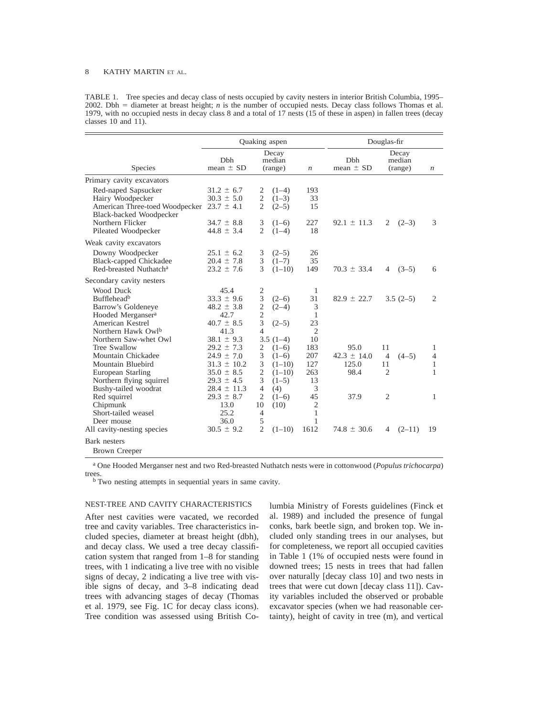TABLE 1. Tree species and decay class of nests occupied by cavity nesters in interior British Columbia, 1995– 2002. Dbh  $=$  diameter at breast height; *n* is the number of occupied nests. Decay class follows Thomas et al. 1979, with no occupied nests in decay class 8 and a total of 17 nests (15 of these in aspen) in fallen trees (decay classes 10 and 11).

|                                                                                                                                                                     |                                                                                                                   | Quaking aspen                                                                                                               |                                                                   |                                          | Douglas-fir                                             |                                          |
|---------------------------------------------------------------------------------------------------------------------------------------------------------------------|-------------------------------------------------------------------------------------------------------------------|-----------------------------------------------------------------------------------------------------------------------------|-------------------------------------------------------------------|------------------------------------------|---------------------------------------------------------|------------------------------------------|
| Species                                                                                                                                                             | <b>Dhh</b><br>mean $\pm$ SD                                                                                       | Decay<br>median<br>(range)                                                                                                  | $\boldsymbol{n}$                                                  | Dbh<br>mean $\pm$ SD                     | Decay<br>median<br>(range)                              | $\boldsymbol{n}$                         |
| Primary cavity excavators                                                                                                                                           |                                                                                                                   |                                                                                                                             |                                                                   |                                          |                                                         |                                          |
| Red-naped Sapsucker<br>Hairy Woodpecker<br>American Three-toed Woodpecker<br>Black-backed Woodpecker<br>Northern Flicker<br>Pileated Woodpecker                     | $31.2 \pm 6.7$<br>$30.3 \pm 5.0$<br>$23.7 \pm 4.1$<br>$34.7 \pm 8.8$<br>$44.8 \pm 3.4$                            | $(1-4)$<br>2<br>2<br>$(1-3)$<br>$\overline{c}$<br>$(2-5)$<br>3<br>$(1-6)$<br>$\overline{2}$<br>$(1-4)$                      | 193<br>33<br>15<br>227<br>18                                      | $92.1 \pm 11.3$                          | $(2-3)$<br>2                                            | 3                                        |
| Weak cavity excavators                                                                                                                                              |                                                                                                                   |                                                                                                                             |                                                                   |                                          |                                                         |                                          |
| Downy Woodpecker<br>Black-capped Chickadee<br>Red-breasted Nuthatch <sup>a</sup>                                                                                    | $25.1 \pm 6.2$<br>$20.4 \pm 7.8$<br>$23.2 \pm 7.6$                                                                | $(2-5)$<br>3<br>3<br>$(1-7)$<br>3<br>$(1-10)$                                                                               | 26<br>35<br>149                                                   | $70.3 \pm 33.4$                          | $(3-5)$<br>$\overline{4}$                               | 6                                        |
| Secondary cavity nesters                                                                                                                                            |                                                                                                                   |                                                                                                                             |                                                                   |                                          |                                                         |                                          |
| Wood Duck<br>Bufflehead <sup>b</sup><br>Barrow's Goldeneye<br>Hooded Merganser <sup>a</sup><br>American Kestrel                                                     | 45.4<br>$33.3 \pm 9.6$<br>$48.2 \pm 3.8$<br>42.7<br>$40.7 \pm 8.5$                                                | 2<br>3<br>$(2-6)$<br>$\overline{2}$<br>$(2-4)$<br>$\overline{2}$<br>3<br>$(2-5)$                                            | 1<br>31<br>3<br>1<br>23                                           | $82.9 \pm 22.7$                          | $3.5(2-5)$                                              | $\overline{2}$                           |
| Northern Hawk Owl <sup>b</sup><br>Northern Saw-whet Owl<br>Tree Swallow<br>Mountain Chickadee<br>Mountain Bluebird<br>European Starling<br>Northern flying squirrel | 41.3<br>$38.1 \pm 9.3$<br>$29.2 \pm 7.3$<br>$24.9 \pm 7.0$<br>$31.3 \pm 10.2$<br>$35.0 \pm 8.5$<br>$29.3 \pm 4.5$ | $\overline{4}$<br>$3.5(1-4)$<br>2<br>$(1-6)$<br>3<br>$(1-6)$<br>3<br>$(1-10)$<br>$\overline{2}$<br>$(1-10)$<br>3<br>$(1-5)$ | $\overline{2}$<br>10<br>183<br>207<br>127<br>263<br>13            | 95.0<br>$42.3 \pm 14.0$<br>125.0<br>98.4 | 11<br>$\overline{4}$<br>$(4-5)$<br>11<br>$\overline{2}$ | 1<br>$\overline{4}$<br>$\mathbf{1}$<br>1 |
| Bushy-tailed woodrat<br>Red squirrel<br>Chipmunk<br>Short-tailed weasel<br>Deer mouse<br>All cavity-nesting species                                                 | $28.4 \pm 11.3$<br>$29.3 \pm 8.7$<br>13.0<br>25.2<br>36.0<br>$30.5 \pm 9.2$                                       | $\overline{4}$<br>(4)<br>2<br>$(1-6)$<br>10<br>(10)<br>$\overline{4}$<br>5<br>$\overline{2}$<br>$(1-10)$                    | 3<br>45<br>$\overline{2}$<br>$\mathbf{1}$<br>$\mathbf{1}$<br>1612 | 37.9<br>$74.8 \pm 30.6$                  | $\overline{2}$<br>$(2-11)$<br>4                         | 1<br>19                                  |
| Bark nesters                                                                                                                                                        |                                                                                                                   |                                                                                                                             |                                                                   |                                          |                                                         |                                          |
| <b>Brown Creeper</b>                                                                                                                                                |                                                                                                                   |                                                                                                                             |                                                                   |                                          |                                                         |                                          |

<sup>a</sup> One Hooded Merganser nest and two Red-breasted Nuthatch nests were in cottonwood (*Populus trichocarpa*) trees.<br><sup>b</sup> Two nesting attempts in sequential years in same cavity.

### NEST-TREE AND CAVITY CHARACTERISTICS

After nest cavities were vacated, we recorded tree and cavity variables. Tree characteristics included species, diameter at breast height (dbh), and decay class. We used a tree decay classification system that ranged from 1–8 for standing trees, with 1 indicating a live tree with no visible signs of decay, 2 indicating a live tree with visible signs of decay, and 3–8 indicating dead trees with advancing stages of decay (Thomas et al. 1979, see Fig. 1C for decay class icons). Tree condition was assessed using British Columbia Ministry of Forests guidelines (Finck et al. 1989) and included the presence of fungal conks, bark beetle sign, and broken top. We included only standing trees in our analyses, but for completeness, we report all occupied cavities in Table 1 (1% of occupied nests were found in downed trees; 15 nests in trees that had fallen over naturally [decay class 10] and two nests in trees that were cut down [decay class 11]). Cavity variables included the observed or probable excavator species (when we had reasonable certainty), height of cavity in tree (m), and vertical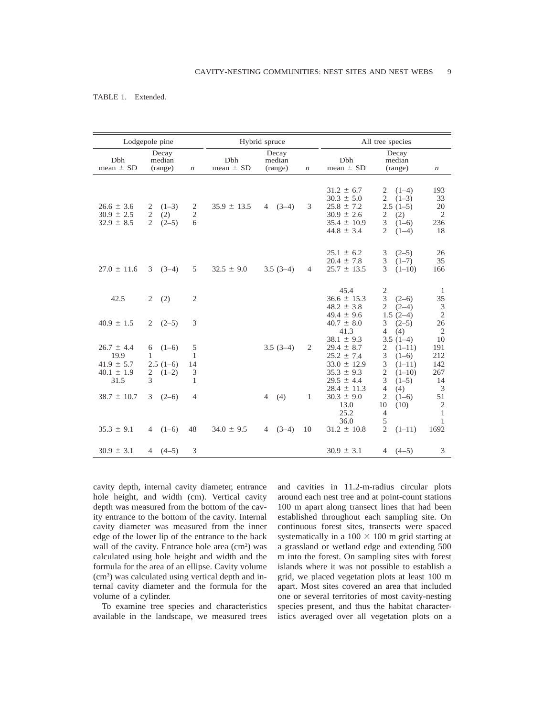| TABLE 1. | Extended. |
|----------|-----------|
|          |           |
|          |           |
|          |           |

|                                                                    | Lodgepole pine                                        |                          |                      | Hybrid spruce              |                  | All tree species                                                                                           |                                                                                                                                    |                                                    |  |
|--------------------------------------------------------------------|-------------------------------------------------------|--------------------------|----------------------|----------------------------|------------------|------------------------------------------------------------------------------------------------------------|------------------------------------------------------------------------------------------------------------------------------------|----------------------------------------------------|--|
| Dbh<br>mean $\pm$ SD                                               | Decay<br>median<br>(range)                            | $\,$                     | Dbh<br>mean $\pm$ SD | Decay<br>median<br>(range) | $\boldsymbol{n}$ | Dbh<br>mean $\pm$ SD                                                                                       | Decay<br>median<br>(range)                                                                                                         | $\boldsymbol{n}$                                   |  |
| $26.6 \pm 3.6$<br>$30.9 \pm 2.5$<br>$32.9 \pm 8.5$                 | $(1-3)$<br>2<br>2<br>(2)<br>$\overline{c}$<br>$(2-5)$ | 2<br>$\overline{2}$<br>6 | $35.9 \pm 13.5$      | $(3-4)$<br>$\overline{4}$  | 3                | $31.2 \pm 6.7$<br>$30.3 \pm 5.0$<br>$25.8 \pm 7.2$<br>$30.9 \pm 2.6$<br>$35.4 \pm 10.9$<br>$44.8 \pm 3.4$  | $(1-4)$<br>2<br>$\mathfrak{2}$<br>$(1-3)$<br>$2.5(1-5)$<br>$\mathfrak{2}$<br>(2)<br>3<br>$(1-6)$<br>$\overline{c}$<br>$(1-4)$      | 193<br>33<br>20<br>$\overline{2}$<br>236<br>18     |  |
| $27.0 \pm 11.6$                                                    | $(3-4)$<br>3                                          | 5                        | $32.5 \pm 9.0$       | $3.5(3-4)$                 | 4                | $25.1 \pm 6.2$<br>$20.4 \pm 7.8$<br>$25.7 \pm 13.5$                                                        | 3<br>$(2-5)$<br>3<br>$(1-7)$<br>3<br>$(1-10)$                                                                                      | 26<br>35<br>166                                    |  |
| 42.5                                                               | (2)<br>$\overline{2}$                                 | $\mathfrak{2}$           |                      |                            |                  | 45.4<br>$36.6 \pm 15.3$<br>$48.2 \pm 3.8$<br>$49.4 \pm 9.6$                                                | $\overline{c}$<br>3<br>$(2-6)$<br>$\overline{c}$<br>$(2-4)$<br>$1.5(2-4)$                                                          | $\mathbf{1}$<br>35<br>$\sqrt{3}$<br>$\overline{2}$ |  |
| $40.9 \pm 1.5$                                                     | $(2-5)$<br>$\overline{2}$                             | 3                        |                      |                            |                  | $40.7 \pm 8.0$<br>41.3<br>$38.1 \pm 9.3$                                                                   | $(2-5)$<br>3<br>4<br>(4)<br>$3.5(1-4)$                                                                                             | 26<br>$\overline{2}$<br>10                         |  |
| $26.7 \pm 4.4$<br>19.9<br>$41.9 \pm 5.7$<br>$40.1 \pm 1.9$<br>31.5 | $(1-6)$<br>6<br>1<br>$2.5(1-6)$<br>2<br>$(1-2)$<br>3  | 5<br>1<br>14<br>3<br>1   |                      | $3.5(3-4)$                 | $\overline{2}$   | $29.4 \pm 8.7$<br>$25.2 \pm 7.4$<br>$33.0 \pm 12.9$<br>$35.3 \pm 9.3$<br>$29.5 \pm 4.4$<br>$28.4 \pm 11.3$ | $\overline{2}$<br>$(1-11)$<br>3<br>$(1-6)$<br>3<br>$(1-11)$<br>$\overline{2}$<br>$(1-10)$<br>3<br>$(1-5)$<br>$\overline{4}$<br>(4) | 191<br>212<br>142<br>267<br>14<br>3                |  |
| $38.7 \pm 10.7$                                                    | 3<br>$(2-6)$                                          | $\overline{4}$           |                      | $\overline{4}$<br>(4)      | $\mathbf{1}$     | $30.3 \pm 9.0$<br>13.0<br>25.2                                                                             | $\overline{2}$<br>$(1-6)$<br>10<br>(10)<br>$\overline{4}$                                                                          | 51<br>$\overline{c}$<br>$\mathbf{1}$               |  |
| $35.3 \pm 9.1$                                                     | $(1-6)$<br>4                                          | 48                       | $34.0 \pm 9.5$       | $(3-4)$<br>4               | 10               | 36.0<br>$31.2 \pm 10.8$                                                                                    | 5<br>$\overline{2}$<br>$(1-11)$                                                                                                    | 1<br>1692                                          |  |
| $30.9 \pm 3.1$                                                     | $(4-5)$<br>4                                          | 3                        |                      |                            |                  | $30.9 \pm 3.1$                                                                                             | $(4-5)$<br>4                                                                                                                       | 3                                                  |  |

cavity depth, internal cavity diameter, entrance hole height, and width (cm). Vertical cavity depth was measured from the bottom of the cavity entrance to the bottom of the cavity. Internal cavity diameter was measured from the inner edge of the lower lip of the entrance to the back wall of the cavity. Entrance hole area (cm<sup>2</sup>) was calculated using hole height and width and the formula for the area of an ellipse. Cavity volume (cm3) was calculated using vertical depth and internal cavity diameter and the formula for the volume of a cylinder.

To examine tree species and characteristics available in the landscape, we measured trees and cavities in 11.2-m-radius circular plots around each nest tree and at point-count stations 100 m apart along transect lines that had been established throughout each sampling site. On continuous forest sites, transects were spaced systematically in a  $100 \times 100$  m grid starting at a grassland or wetland edge and extending 500 m into the forest. On sampling sites with forest islands where it was not possible to establish a grid, we placed vegetation plots at least 100 m apart. Most sites covered an area that included one or several territories of most cavity-nesting species present, and thus the habitat characteristics averaged over all vegetation plots on a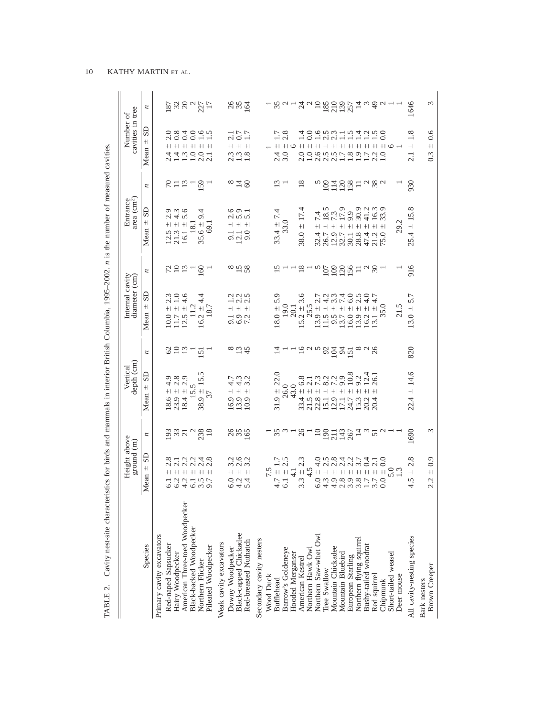| Cavity nest-site characteri<br>TABLE 2. |                                                                                           |                                                                                                                                                                                                                                                                                                                                              |                                                                                  |                                                                                                                          |                                                                                                                                                                                                                                                                                                                                               |                                                         | stics for birds and mammals in interior British Columbia, $1995-2002$ . <i>n</i> is the number of measured cavities.                                                                                                                                                                                                                         |                 |                                                                                 |                                         |
|-----------------------------------------|-------------------------------------------------------------------------------------------|----------------------------------------------------------------------------------------------------------------------------------------------------------------------------------------------------------------------------------------------------------------------------------------------------------------------------------------------|----------------------------------------------------------------------------------|--------------------------------------------------------------------------------------------------------------------------|-----------------------------------------------------------------------------------------------------------------------------------------------------------------------------------------------------------------------------------------------------------------------------------------------------------------------------------------------|---------------------------------------------------------|----------------------------------------------------------------------------------------------------------------------------------------------------------------------------------------------------------------------------------------------------------------------------------------------------------------------------------------------|-----------------|---------------------------------------------------------------------------------|-----------------------------------------|
|                                         | Height above<br>ground (m)                                                                |                                                                                                                                                                                                                                                                                                                                              | depth (cm)<br>Vertical                                                           |                                                                                                                          | Internal cavity<br>diameter (cm)                                                                                                                                                                                                                                                                                                              |                                                         | Entrance<br>area $\text{cm}^2$ )                                                                                                                                                                                                                                                                                                             |                 | cavities in tree<br>Number of                                                   |                                         |
| Species                                 | $_{\rm SD}$<br>$+1$<br>Mean                                                               | n                                                                                                                                                                                                                                                                                                                                            | $_{\rm SD}$<br>$\ddagger$<br>Mean                                                | n                                                                                                                        | SD<br>$\overline{+}$<br>Mean                                                                                                                                                                                                                                                                                                                  | n                                                       | SD<br>$\left  + \right $<br>Mean                                                                                                                                                                                                                                                                                                             | n               | $_{\rm SD}$<br>$+1$<br>Mean                                                     | $\boldsymbol{z}$                        |
| Primary cavity excavators               |                                                                                           |                                                                                                                                                                                                                                                                                                                                              |                                                                                  |                                                                                                                          |                                                                                                                                                                                                                                                                                                                                               |                                                         |                                                                                                                                                                                                                                                                                                                                              |                 |                                                                                 |                                         |
| Red-naped Sapsucker<br>Hairy Woodpecker |                                                                                           |                                                                                                                                                                                                                                                                                                                                              |                                                                                  |                                                                                                                          | $\begin{array}{c} 10.0 \pm 2.3 \\ 11.7 \pm 1.0 \\ 12.5 \pm 4.6 \end{array}$                                                                                                                                                                                                                                                                   |                                                         |                                                                                                                                                                                                                                                                                                                                              |                 |                                                                                 |                                         |
|                                         |                                                                                           |                                                                                                                                                                                                                                                                                                                                              |                                                                                  |                                                                                                                          |                                                                                                                                                                                                                                                                                                                                               |                                                         |                                                                                                                                                                                                                                                                                                                                              |                 |                                                                                 |                                         |
| American Three-toed Woodpecker          |                                                                                           |                                                                                                                                                                                                                                                                                                                                              |                                                                                  | <u>855</u>                                                                                                               |                                                                                                                                                                                                                                                                                                                                               | 5527                                                    | $12.5 + 12.3 + 15.1 + 16.1 + 16.1 + 16.1 + 16.1 + 16.1 + 16.1 + 16.1 + 16.1 + 16.1 + 16.1 + 16.1 + 16.1 + 16.1 + 16.1 + 16.1 + 16.1 + 16.1 + 16.1 + 16.1 + 16.1 + 16.1 + 16.1 + 16.1 + 16.1 + 16.1 + 16.1 + 16.1 + 16.1 + 16.1 + 16.1 + 16.1 + 16.1 + 16.1 + 16.1$                                                                           | $2717 - 7$      |                                                                                 |                                         |
| Black-backed Woodpecker                 |                                                                                           |                                                                                                                                                                                                                                                                                                                                              | $18.6 \pm 4.9$<br>$23.9 \pm 2.8$<br>$18.4 \pm 2.9$<br>$15.5$                     |                                                                                                                          | 11.2                                                                                                                                                                                                                                                                                                                                          |                                                         | 18.1                                                                                                                                                                                                                                                                                                                                         |                 |                                                                                 |                                         |
| Northern Flicker                        | $\infty$ $ \sim$ $\sim$ $+$ $\infty$<br>ನನನನ್ನ<br>$+  +  +  +  +  + $<br>533555<br>534555 | gaz 188                                                                                                                                                                                                                                                                                                                                      | $38.9 \pm 15.5$<br>$37$                                                          | $\overline{5}$                                                                                                           | $16.2 \pm 4.4$                                                                                                                                                                                                                                                                                                                                | 160                                                     | 9.4<br>$35.6 \pm$                                                                                                                                                                                                                                                                                                                            | 159             | 0810951<br>000011<br>$+1$ +1 +1 +1 +1 +1<br>4 4 3 9 9 1<br>2 1 1 1 2 2 3        | 233755                                  |
| Pileated Woodpecker                     |                                                                                           |                                                                                                                                                                                                                                                                                                                                              |                                                                                  |                                                                                                                          | 18.7                                                                                                                                                                                                                                                                                                                                          |                                                         | 69.1                                                                                                                                                                                                                                                                                                                                         |                 |                                                                                 |                                         |
| Weak cavity excavators                  |                                                                                           |                                                                                                                                                                                                                                                                                                                                              |                                                                                  |                                                                                                                          |                                                                                                                                                                                                                                                                                                                                               |                                                         |                                                                                                                                                                                                                                                                                                                                              |                 |                                                                                 |                                         |
| Downy Woodpecker                        |                                                                                           |                                                                                                                                                                                                                                                                                                                                              |                                                                                  |                                                                                                                          |                                                                                                                                                                                                                                                                                                                                               |                                                         |                                                                                                                                                                                                                                                                                                                                              |                 |                                                                                 | 284                                     |
| Black-capped Chickadee                  | QQQ<br>ന് റി നി<br>+1 +1 +1<br>0.044                                                      | 2690                                                                                                                                                                                                                                                                                                                                         | 440<br>440<br>$+1 + 1 + 1$<br>$\begin{array}{c} 6.9 \\ 1.03 \\ 1.03 \end{array}$ | $\infty$ 74                                                                                                              | 2225<br>$+1 + 1 + 1$<br>5<br>0<br>0<br>7<br>2<br>7                                                                                                                                                                                                                                                                                            | 82.8                                                    | $\frac{6}{10}$<br>$\frac{6}{10}$<br>$+1 + 1 + 1$<br>$9.1$<br>$12.1$<br>$9.0$                                                                                                                                                                                                                                                                 | $\approx$ 7.8   | $7.7$<br>$-1.7$<br>$+  +   +  $<br>$\frac{3}{21}$ $\frac{3}{21}$ $\frac{3}{21}$ |                                         |
| Red-breasted Nuthatch                   |                                                                                           |                                                                                                                                                                                                                                                                                                                                              |                                                                                  |                                                                                                                          |                                                                                                                                                                                                                                                                                                                                               |                                                         |                                                                                                                                                                                                                                                                                                                                              |                 |                                                                                 |                                         |
| Secondary cavity nesters                |                                                                                           |                                                                                                                                                                                                                                                                                                                                              |                                                                                  |                                                                                                                          |                                                                                                                                                                                                                                                                                                                                               |                                                         |                                                                                                                                                                                                                                                                                                                                              |                 |                                                                                 |                                         |
| Wood Duck                               |                                                                                           |                                                                                                                                                                                                                                                                                                                                              |                                                                                  |                                                                                                                          |                                                                                                                                                                                                                                                                                                                                               |                                                         |                                                                                                                                                                                                                                                                                                                                              |                 |                                                                                 |                                         |
| Bufflehead                              |                                                                                           | $\frac{180}{180}-\frac{18}{18}-\frac{18}{180}-\frac{17}{180}-\frac{17}{180}-\frac{17}{180}-\frac{17}{180}-\frac{17}{180}-\frac{17}{180}-\frac{17}{180}-\frac{17}{180}-\frac{17}{180}-\frac{17}{180}-\frac{17}{180}-\frac{17}{180}-\frac{17}{180}-\frac{17}{180}-\frac{17}{180}-\frac{17}{180}-\frac{17}{180}-\frac{17}{180}-\frac{17}{180}-$ | $31.9 \pm 22.0$                                                                  |                                                                                                                          | 5.9<br>$18.0 \pm$                                                                                                                                                                                                                                                                                                                             |                                                         | 7.4<br>$33.4 \pm 7$                                                                                                                                                                                                                                                                                                                          |                 | 2.4                                                                             | $-55$                                   |
| Barrow's Goldeneye                      | $4.7 \pm 1.7$<br>6.1 $\pm$ 2.5                                                            |                                                                                                                                                                                                                                                                                                                                              | 26.0                                                                             | $\vec{a}$ $ \vec{a}$ $\vec{b}$ $\vec{c}$ $\vec{c}$ $\vec{d}$ $\vec{c}$ $\vec{c}$ $\vec{c}$ $\vec{c}$ $\vec{c}$ $\vec{c}$ | 19.0                                                                                                                                                                                                                                                                                                                                          |                                                         | 33.0                                                                                                                                                                                                                                                                                                                                         |                 | $1.7$<br>2.8<br>$+1$ $\circ$<br>3.0                                             |                                         |
| Hooded Merganser                        |                                                                                           |                                                                                                                                                                                                                                                                                                                                              | 43.0                                                                             |                                                                                                                          | 20.1                                                                                                                                                                                                                                                                                                                                          |                                                         |                                                                                                                                                                                                                                                                                                                                              |                 |                                                                                 |                                         |
| American Kestrel                        | 2.3<br>$3.3 \pm 7$                                                                        |                                                                                                                                                                                                                                                                                                                                              | $+1$<br>3.4                                                                      |                                                                                                                          | $15.2 \pm 3.6$<br>$25.5$                                                                                                                                                                                                                                                                                                                      | $  \frac{\infty}{1}$                                    | 17.4<br>$38.0 \pm$                                                                                                                                                                                                                                                                                                                           | $\frac{8}{18}$  | 2.0                                                                             | $a - a$ $a$ $a$ $a$ $a$ $a$ $a$ $a$ $a$ |
| Northern Hawk Owl                       | 4.5                                                                                       |                                                                                                                                                                                                                                                                                                                                              | $\bf + $                                                                         |                                                                                                                          |                                                                                                                                                                                                                                                                                                                                               |                                                         |                                                                                                                                                                                                                                                                                                                                              |                 | $+1$                                                                            |                                         |
| Northern Saw-whet Owl                   | $\frac{0}{4}$                                                                             |                                                                                                                                                                                                                                                                                                                                              | $+1$                                                                             |                                                                                                                          | $\mathcal{L}$<br>$+1$                                                                                                                                                                                                                                                                                                                         |                                                         |                                                                                                                                                                                                                                                                                                                                              |                 | $+1 +1$                                                                         |                                         |
| Tree Swallow                            | $\sim$<br>d d d d d d l L L<br>d d d d d d l L L                                          |                                                                                                                                                                                                                                                                                                                                              | 813220<br>812879<br>$+1$<br>12819117822                                          |                                                                                                                          | dwidowor<br>Gwyddiad<br>$+1$<br>$\begin{array}{c} 13.9 \\ 11.5 \\ 9.5 \\ 15.0 \\ 16.0 \\ 19.1 \\ 19.1 \\ 10.0 \\ 11. \\ 13.1 \\ 14.0 \\ 15.0 \\ 16.0 \\ 17.0 \\ 18.1 \\ 19.0 \\ 19.0 \\ 10.0 \\ 10.0 \\ 11.0 \\ 13.0 \\ 14.0 \\ 15.0 \\ 16.0 \\ 17.0 \\ 19.0 \\ 19.0 \\ 19.0 \\ 19.0 \\ 19.0 \\ 19.0 \\ 19.0 \\ 19.0 \\ 19.0 \\ 19.0 \\ 19.0$ | $\begin{array}{c} 22822 \\ 23222 \\ \hline \end{array}$ | 18.5<br>$+$   +  +  +  +  +  +  +  + <br>$\begin{array}{l} 21.50 \\ 22.51 \\ 23.52 \\ 24.53 \\ 25.54 \\ 26.55 \\ 27.55 \\ 28.54 \\ 29.51 \\ 20.52 \\ 21.53 \\ 22.54 \\ 23.55 \\ 24.55 \\ 25.55 \\ 26.55 \\ 27.55 \\ 28.55 \\ 27.55 \\ 28.55 \\ 29.55 \\ 29.55 \\ 20.55 \\ 25.55 \\ 27.55 \\ 28.55 \\ 29.55 \\ 29.55 \\ 29.55 \\ 20.55 \\ 20$ | $2122 - 122$    | 409931144250<br>10103111110                                                     |                                         |
| Mountain Chickadee                      |                                                                                           |                                                                                                                                                                                                                                                                                                                                              | $+1$                                                                             |                                                                                                                          |                                                                                                                                                                                                                                                                                                                                               |                                                         |                                                                                                                                                                                                                                                                                                                                              |                 |                                                                                 |                                         |
| Mountain Bluebird                       | $\begin{array}{c} 0.470740 \\ 0.470740 \\ 0.0000 \end{array}$                             |                                                                                                                                                                                                                                                                                                                                              | $+1$                                                                             |                                                                                                                          | $\pm\textsf{I}$ $\pm\textsf{I}$ $\pm\textsf{I}$ $\pm\textsf{I}$ $\pm\textsf{I}$                                                                                                                                                                                                                                                               |                                                         | $7.3$<br>$17.9$<br>$9.9$                                                                                                                                                                                                                                                                                                                     |                 | $\rightarrow$ - $\sim$ 1+ 1+ 1+ 1+ 1+ 1+ 1+                                     |                                         |
| European Starling                       |                                                                                           |                                                                                                                                                                                                                                                                                                                                              | 10.8<br>$+1$                                                                     |                                                                                                                          |                                                                                                                                                                                                                                                                                                                                               |                                                         |                                                                                                                                                                                                                                                                                                                                              |                 |                                                                                 |                                         |
| Northern flying squirrel                |                                                                                           |                                                                                                                                                                                                                                                                                                                                              | 9.2                                                                              |                                                                                                                          |                                                                                                                                                                                                                                                                                                                                               |                                                         |                                                                                                                                                                                                                                                                                                                                              |                 |                                                                                 |                                         |
| Bushy-tailed woodrat                    |                                                                                           |                                                                                                                                                                                                                                                                                                                                              | $12.4$<br>26.1<br>$+1 + 1 + 1$                                                   |                                                                                                                          |                                                                                                                                                                                                                                                                                                                                               |                                                         | $30.9$<br>41.2                                                                                                                                                                                                                                                                                                                               |                 |                                                                                 |                                         |
| Red squirrel                            |                                                                                           |                                                                                                                                                                                                                                                                                                                                              | 20.4                                                                             |                                                                                                                          | $+1$                                                                                                                                                                                                                                                                                                                                          |                                                         | 16.3                                                                                                                                                                                                                                                                                                                                         | $\frac{28}{30}$ |                                                                                 |                                         |
| Chipmunk                                | $\bf + $<br>0.0                                                                           |                                                                                                                                                                                                                                                                                                                                              |                                                                                  |                                                                                                                          | 35.0                                                                                                                                                                                                                                                                                                                                          |                                                         |                                                                                                                                                                                                                                                                                                                                              |                 |                                                                                 |                                         |
| Short-tailed weasel                     |                                                                                           |                                                                                                                                                                                                                                                                                                                                              |                                                                                  |                                                                                                                          |                                                                                                                                                                                                                                                                                                                                               |                                                         |                                                                                                                                                                                                                                                                                                                                              |                 |                                                                                 |                                         |
| Deer mouse                              |                                                                                           |                                                                                                                                                                                                                                                                                                                                              |                                                                                  |                                                                                                                          | 21.5                                                                                                                                                                                                                                                                                                                                          |                                                         | 29.2                                                                                                                                                                                                                                                                                                                                         |                 |                                                                                 |                                         |
| All cavity-nesting species              | 2.8<br>$+1$<br>Νj<br>4                                                                    | 1690                                                                                                                                                                                                                                                                                                                                         | $-14.6$<br>22.4                                                                  | 820                                                                                                                      | 5.7<br>$13.0 +$                                                                                                                                                                                                                                                                                                                               | 916                                                     | ± 15.8<br>25.4                                                                                                                                                                                                                                                                                                                               | 930             | 1.8<br>$+1$<br>2.1                                                              | 1646                                    |
| <b>Brown Creeper</b><br>Bark nesters    | 0.9<br>$+1$<br>2.2                                                                        |                                                                                                                                                                                                                                                                                                                                              |                                                                                  |                                                                                                                          |                                                                                                                                                                                                                                                                                                                                               |                                                         |                                                                                                                                                                                                                                                                                                                                              |                 | 0.6<br>$+1$<br>$0.\overline{3}$                                                 | 3                                       |

10 KATHY MARTIN ET AL .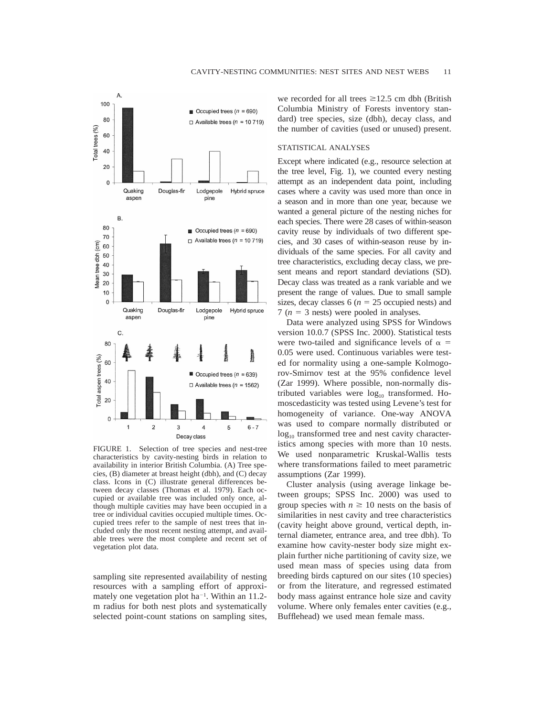

FIGURE 1. Selection of tree species and nest-tree characteristics by cavity-nesting birds in relation to availability in interior British Columbia. (A) Tree species, (B) diameter at breast height (dbh), and (C) decay class. Icons in (C) illustrate general differences between decay classes (Thomas et al. 1979). Each occupied or available tree was included only once, although multiple cavities may have been occupied in a tree or individual cavities occupied multiple times. Occupied trees refer to the sample of nest trees that included only the most recent nesting attempt, and available trees were the most complete and recent set of vegetation plot data.

sampling site represented availability of nesting resources with a sampling effort of approximately one vegetation plot ha<sup> $-1$ </sup>. Within an 11.2m radius for both nest plots and systematically selected point-count stations on sampling sites,

we recorded for all trees  $\geq 12.5$  cm dbh (British Columbia Ministry of Forests inventory standard) tree species, size (dbh), decay class, and the number of cavities (used or unused) present.

#### STATISTICAL ANALYSES

Except where indicated (e.g., resource selection at the tree level, Fig. 1), we counted every nesting attempt as an independent data point, including cases where a cavity was used more than once in a season and in more than one year, because we wanted a general picture of the nesting niches for each species. There were 28 cases of within-season cavity reuse by individuals of two different species, and 30 cases of within-season reuse by individuals of the same species. For all cavity and tree characteristics, excluding decay class, we present means and report standard deviations (SD). Decay class was treated as a rank variable and we present the range of values. Due to small sample sizes, decay classes 6 ( $n = 25$  occupied nests) and  $7 (n = 3$  nests) were pooled in analyses.

Data were analyzed using SPSS for Windows version 10.0.7 (SPSS Inc. 2000). Statistical tests were two-tailed and significance levels of  $\alpha =$ 0.05 were used. Continuous variables were tested for normality using a one-sample Kolmogorov-Smirnov test at the 95% confidence level (Zar 1999). Where possible, non-normally distributed variables were  $log_{10}$  transformed. Homoscedasticity was tested using Levene's test for homogeneity of variance. One-way ANOVA was used to compare normally distributed or  $log_{10}$  transformed tree and nest cavity characteristics among species with more than 10 nests. We used nonparametric Kruskal-Wallis tests where transformations failed to meet parametric assumptions (Zar 1999).

Cluster analysis (using average linkage between groups; SPSS Inc. 2000) was used to group species with  $n \geq 10$  nests on the basis of similarities in nest cavity and tree characteristics (cavity height above ground, vertical depth, internal diameter, entrance area, and tree dbh). To examine how cavity-nester body size might explain further niche partitioning of cavity size, we used mean mass of species using data from breeding birds captured on our sites (10 species) or from the literature, and regressed estimated body mass against entrance hole size and cavity volume. Where only females enter cavities (e.g., Bufflehead) we used mean female mass.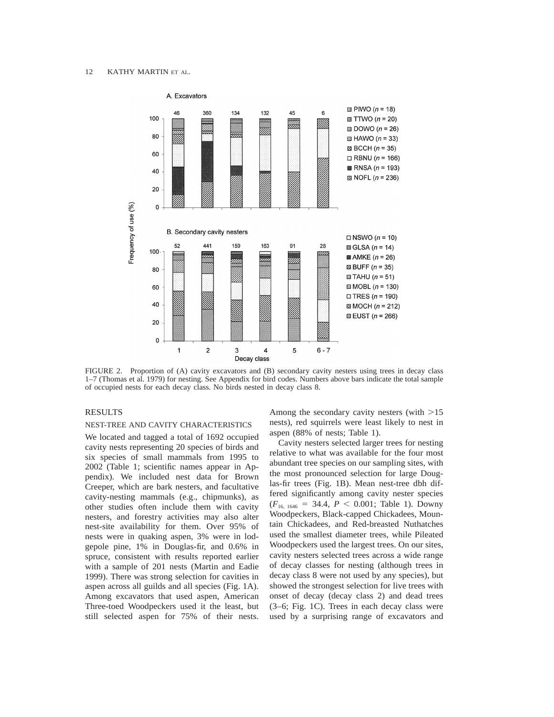

FIGURE 2. Proportion of (A) cavity excavators and (B) secondary cavity nesters using trees in decay class 1–7 (Thomas et al. 1979) for nesting. See Appendix for bird codes. Numbers above bars indicate the total sample of occupied nests for each decay class. No birds nested in decay class 8.

### RESULTS

## NEST-TREE AND CAVITY CHARACTERISTICS

We located and tagged a total of 1692 occupied cavity nests representing 20 species of birds and six species of small mammals from 1995 to 2002 (Table 1; scientific names appear in Appendix). We included nest data for Brown Creeper, which are bark nesters, and facultative cavity-nesting mammals (e.g., chipmunks), as other studies often include them with cavity nesters, and forestry activities may also alter nest-site availability for them. Over 95% of nests were in quaking aspen, 3% were in lodgepole pine, 1% in Douglas-fir, and 0.6% in spruce, consistent with results reported earlier with a sample of 201 nests (Martin and Eadie 1999). There was strong selection for cavities in aspen across all guilds and all species (Fig. 1A). Among excavators that used aspen, American Three-toed Woodpeckers used it the least, but still selected aspen for 75% of their nests. Among the secondary cavity nesters (with  $>15$ ) nests), red squirrels were least likely to nest in aspen (88% of nests; Table 1).

Cavity nesters selected larger trees for nesting relative to what was available for the four most abundant tree species on our sampling sites, with the most pronounced selection for large Douglas-fir trees (Fig. 1B). Mean nest-tree dbh differed significantly among cavity nester species  $(F<sub>16, 1646</sub> = 34.4, P < 0.001;$  Table 1). Downy Woodpeckers, Black-capped Chickadees, Mountain Chickadees, and Red-breasted Nuthatches used the smallest diameter trees, while Pileated Woodpeckers used the largest trees. On our sites, cavity nesters selected trees across a wide range of decay classes for nesting (although trees in decay class 8 were not used by any species), but showed the strongest selection for live trees with onset of decay (decay class 2) and dead trees (3–6; Fig. 1C). Trees in each decay class were used by a surprising range of excavators and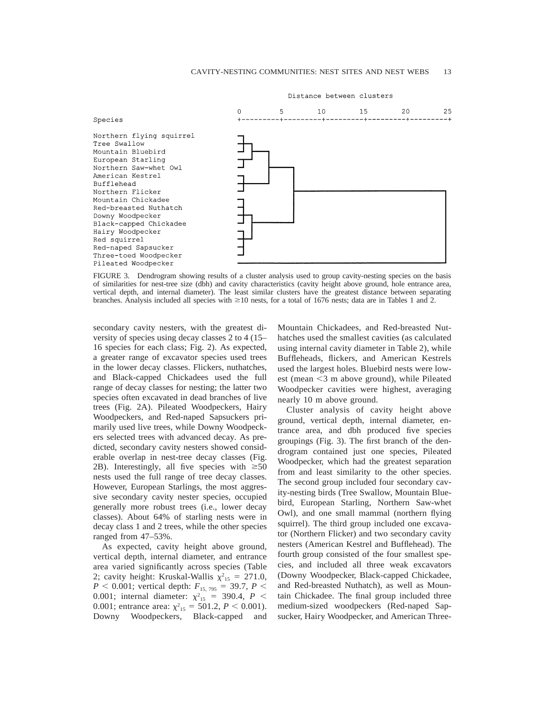

FIGURE 3. Dendrogram showing results of a cluster analysis used to group cavity-nesting species on the basis of similarities for nest-tree size (dbh) and cavity characteristics (cavity height above ground, hole entrance area, vertical depth, and internal diameter). The least similar clusters have the greatest distance between separating branches. Analysis included all species with  $\geq$ 10 nests, for a total of 1676 nests; data are in Tables 1 and 2.

secondary cavity nesters, with the greatest diversity of species using decay classes 2 to 4 (15– 16 species for each class; Fig. 2). As expected, a greater range of excavator species used trees in the lower decay classes. Flickers, nuthatches, and Black-capped Chickadees used the full range of decay classes for nesting; the latter two species often excavated in dead branches of live trees (Fig. 2A). Pileated Woodpeckers, Hairy Woodpeckers, and Red-naped Sapsuckers primarily used live trees, while Downy Woodpeckers selected trees with advanced decay. As predicted, secondary cavity nesters showed considerable overlap in nest-tree decay classes (Fig. 2B). Interestingly, all five species with  $\geq 50$ nests used the full range of tree decay classes. However, European Starlings, the most aggressive secondary cavity nester species, occupied generally more robust trees (i.e., lower decay classes). About 64% of starling nests were in decay class 1 and 2 trees, while the other species ranged from 47–53%.

As expected, cavity height above ground, vertical depth, internal diameter, and entrance area varied significantly across species (Table 2; cavity height: Kruskal-Wallis  $\chi^2_{15} = 271.0$ ,  $P < 0.001$ ; vertical depth:  $F_{15, 795} = 39.7$ ,  $P <$ 0.001; internal diameter:  $\chi^2_{15}$  = 390.4, *P* < 0.001; entrance area:  $\chi^2_{15} = 501.2, P < 0.001$ ). Downy Woodpeckers, Black-capped and Mountain Chickadees, and Red-breasted Nuthatches used the smallest cavities (as calculated using internal cavity diameter in Table 2), while Buffleheads, flickers, and American Kestrels used the largest holes. Bluebird nests were lowest (mean  $\leq$ 3 m above ground), while Pileated Woodpecker cavities were highest, averaging nearly 10 m above ground.

Cluster analysis of cavity height above ground, vertical depth, internal diameter, entrance area, and dbh produced five species groupings (Fig. 3). The first branch of the dendrogram contained just one species, Pileated Woodpecker, which had the greatest separation from and least similarity to the other species. The second group included four secondary cavity-nesting birds (Tree Swallow, Mountain Bluebird, European Starling, Northern Saw-whet Owl), and one small mammal (northern flying squirrel). The third group included one excavator (Northern Flicker) and two secondary cavity nesters (American Kestrel and Bufflehead). The fourth group consisted of the four smallest species, and included all three weak excavators (Downy Woodpecker, Black-capped Chickadee, and Red-breasted Nuthatch), as well as Mountain Chickadee. The final group included three medium-sized woodpeckers (Red-naped Sapsucker, Hairy Woodpecker, and American Three-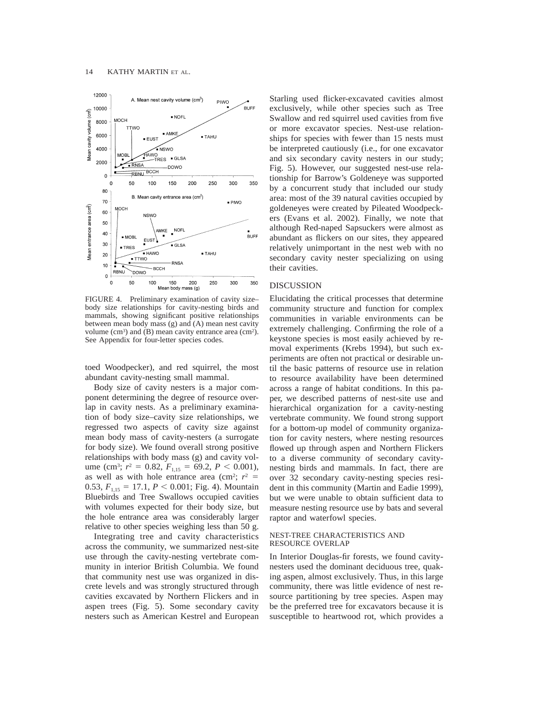

FIGURE 4. Preliminary examination of cavity size– body size relationships for cavity-nesting birds and mammals, showing significant positive relationships between mean body mass (g) and (A) mean nest cavity volume  $(cm<sup>3</sup>)$  and  $(B)$  mean cavity entrance area  $(cm<sup>2</sup>)$ . See Appendix for four-letter species codes.

toed Woodpecker), and red squirrel, the most abundant cavity-nesting small mammal.

Body size of cavity nesters is a major component determining the degree of resource overlap in cavity nests. As a preliminary examination of body size–cavity size relationships, we regressed two aspects of cavity size against mean body mass of cavity-nesters (a surrogate for body size). We found overall strong positive relationships with body mass (g) and cavity volume (cm<sup>3</sup>;  $r^2 = 0.82$ ,  $F_{1,15} = 69.2$ ,  $P < 0.001$ ), as well as with hole entrance area (cm<sup>2</sup>;  $r^2$  = 0.53,  $F_{1,15} = 17.1, P < 0.001$ ; Fig. 4). Mountain Bluebirds and Tree Swallows occupied cavities with volumes expected for their body size, but the hole entrance area was considerably larger relative to other species weighing less than 50 g.

Integrating tree and cavity characteristics across the community, we summarized nest-site use through the cavity-nesting vertebrate community in interior British Columbia. We found that community nest use was organized in discrete levels and was strongly structured through cavities excavated by Northern Flickers and in aspen trees (Fig. 5). Some secondary cavity nesters such as American Kestrel and European Starling used flicker-excavated cavities almost exclusively, while other species such as Tree Swallow and red squirrel used cavities from five or more excavator species. Nest-use relationships for species with fewer than 15 nests must be interpreted cautiously (i.e., for one excavator and six secondary cavity nesters in our study; Fig. 5). However, our suggested nest-use relationship for Barrow's Goldeneye was supported by a concurrent study that included our study area: most of the 39 natural cavities occupied by goldeneyes were created by Pileated Woodpeckers (Evans et al. 2002). Finally, we note that although Red-naped Sapsuckers were almost as abundant as flickers on our sites, they appeared relatively unimportant in the nest web with no secondary cavity nester specializing on using their cavities.

## **DISCUSSION**

Elucidating the critical processes that determine community structure and function for complex communities in variable environments can be extremely challenging. Confirming the role of a keystone species is most easily achieved by removal experiments (Krebs 1994), but such experiments are often not practical or desirable until the basic patterns of resource use in relation to resource availability have been determined across a range of habitat conditions. In this paper, we described patterns of nest-site use and hierarchical organization for a cavity-nesting vertebrate community. We found strong support for a bottom-up model of community organization for cavity nesters, where nesting resources flowed up through aspen and Northern Flickers to a diverse community of secondary cavitynesting birds and mammals. In fact, there are over 32 secondary cavity-nesting species resident in this community (Martin and Eadie 1999), but we were unable to obtain sufficient data to measure nesting resource use by bats and several raptor and waterfowl species.

## NEST-TREE CHARACTERISTICS AND RESOURCE OVERLAP

In Interior Douglas-fir forests, we found cavitynesters used the dominant deciduous tree, quaking aspen, almost exclusively. Thus, in this large community, there was little evidence of nest resource partitioning by tree species. Aspen may be the preferred tree for excavators because it is susceptible to heartwood rot, which provides a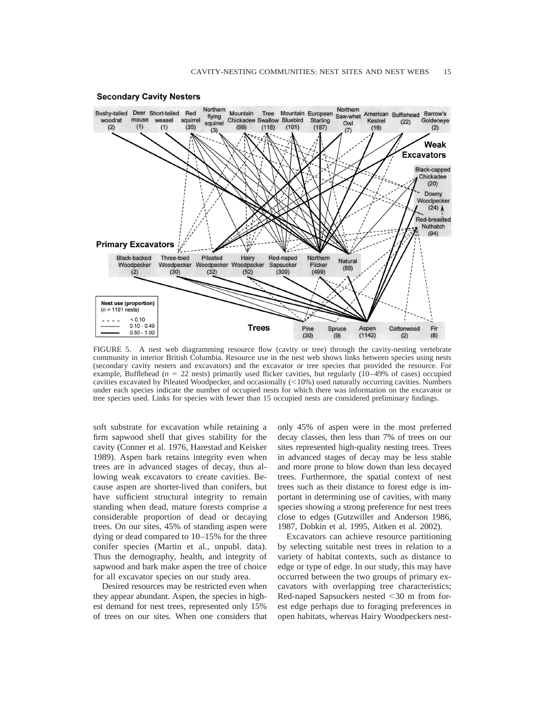

## **Secondary Cavity Nesters**

FIGURE 5. A nest web diagramming resource flow (cavity or tree) through the cavity-nesting vertebrate community in interior British Columbia. Resource use in the nest web shows links between species using nests (secondary cavity nesters and excavators) and the excavator or tree species that provided the resource. For example, Bufflehead ( $n = 22$  nests) primarily used flicker cavities, but regularly (10–49% of cases) occupied cavities excavated by Pileated Woodpecker, and occasionally  $\left($  <10%) used naturally occurring cavities. Numbers under each species indicate the number of occupied nests for which there was information on the excavator or tree species used. Links for species with fewer than 15 occupied nests are considered preliminary findings.

soft substrate for excavation while retaining a firm sapwood shell that gives stability for the cavity (Conner et al. 1976, Harestad and Keisker 1989). Aspen bark retains integrity even when trees are in advanced stages of decay, thus allowing weak excavators to create cavities. Because aspen are shorter-lived than conifers, but have sufficient structural integrity to remain standing when dead, mature forests comprise a considerable proportion of dead or decaying trees. On our sites, 45% of standing aspen were dying or dead compared to 10–15% for the three conifer species (Martin et al., unpubl. data). Thus the demography, health, and integrity of sapwood and bark make aspen the tree of choice for all excavator species on our study area.

Desired resources may be restricted even when they appear abundant. Aspen, the species in highest demand for nest trees, represented only 15% of trees on our sites. When one considers that only 45% of aspen were in the most preferred decay classes, then less than 7% of trees on our sites represented high-quality nesting trees. Trees in advanced stages of decay may be less stable and more prone to blow down than less decayed trees. Furthermore, the spatial context of nest trees such as their distance to forest edge is important in determining use of cavities, with many species showing a strong preference for nest trees close to edges (Gutzwiller and Anderson 1986, 1987, Dobkin et al. 1995, Aitken et al. 2002).

Excavators can achieve resource partitioning by selecting suitable nest trees in relation to a variety of habitat contexts, such as distance to edge or type of edge. In our study, this may have occurred between the two groups of primary excavators with overlapping tree characteristics; Red-naped Sapsuckers nested  $\leq$ 30 m from forest edge perhaps due to foraging preferences in open habitats, whereas Hairy Woodpeckers nest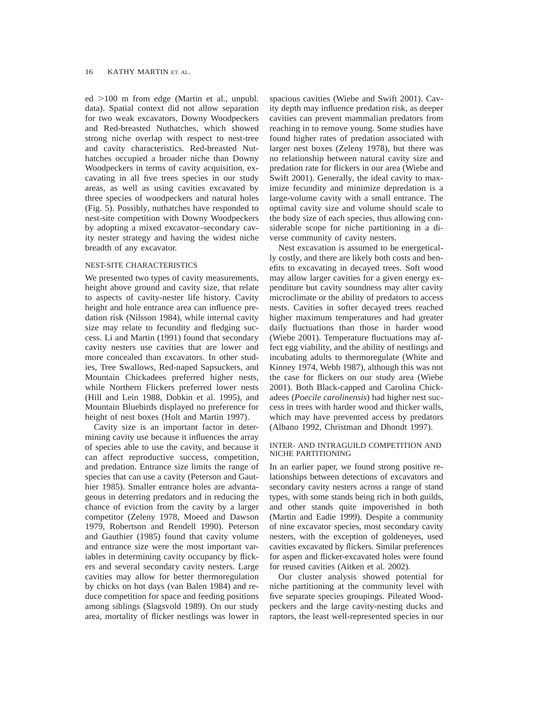ed  $>100$  m from edge (Martin et al., unpubl. data). Spatial context did not allow separation for two weak excavators, Downy Woodpeckers and Red-breasted Nuthatches, which showed strong niche overlap with respect to nest-tree and cavity characteristics. Red-breasted Nuthatches occupied a broader niche than Downy Woodpeckers in terms of cavity acquisition, excavating in all five trees species in our study areas, as well as using cavities excavated by three species of woodpeckers and natural holes (Fig. 5). Possibly, nuthatches have responded to nest-site competition with Downy Woodpeckers by adopting a mixed excavator–secondary cavity nester strategy and having the widest niche breadth of any excavator.

## NEST-SITE CHARACTERISTICS

We presented two types of cavity measurements, height above ground and cavity size, that relate to aspects of cavity-nester life history. Cavity height and hole entrance area can influence predation risk (Nilsson 1984), while internal cavity size may relate to fecundity and fledging success. Li and Martin (1991) found that secondary cavity nesters use cavities that are lower and more concealed than excavators. In other studies, Tree Swallows, Red-naped Sapsuckers, and Mountain Chickadees preferred higher nests, while Northern Flickers preferred lower nests (Hill and Lein 1988, Dobkin et al. 1995), and Mountain Bluebirds displayed no preference for height of nest boxes (Holt and Martin 1997).

Cavity size is an important factor in determining cavity use because it influences the array of species able to use the cavity, and because it can affect reproductive success, competition, and predation. Entrance size limits the range of species that can use a cavity (Peterson and Gauthier 1985). Smaller entrance holes are advantageous in deterring predators and in reducing the chance of eviction from the cavity by a larger competitor (Zeleny 1978, Moeed and Dawson 1979, Robertson and Rendell 1990). Peterson and Gauthier (1985) found that cavity volume and entrance size were the most important variables in determining cavity occupancy by flickers and several secondary cavity nesters. Large cavities may allow for better thermoregulation by chicks on hot days (van Balen 1984) and reduce competition for space and feeding positions among siblings (Slagsvold 1989). On our study area, mortality of flicker nestlings was lower in spacious cavities (Wiebe and Swift 2001). Cavity depth may influence predation risk, as deeper cavities can prevent mammalian predators from reaching in to remove young. Some studies have found higher rates of predation associated with larger nest boxes (Zeleny 1978), but there was no relationship between natural cavity size and predation rate for flickers in our area (Wiebe and Swift 2001). Generally, the ideal cavity to maximize fecundity and minimize depredation is a large-volume cavity with a small entrance. The optimal cavity size and volume should scale to the body size of each species, thus allowing considerable scope for niche partitioning in a diverse community of cavity nesters.

Nest excavation is assumed to be energetically costly, and there are likely both costs and benefits to excavating in decayed trees. Soft wood may allow larger cavities for a given energy expenditure but cavity soundness may alter cavity microclimate or the ability of predators to access nests. Cavities in softer decayed trees reached higher maximum temperatures and had greater daily fluctuations than those in harder wood (Wiebe 2001). Temperature fluctuations may affect egg viability, and the ability of nestlings and incubating adults to thermoregulate (White and Kinney 1974, Webb 1987), although this was not the case for flickers on our study area (Wiebe 2001). Both Black-capped and Carolina Chickadees (*Poecile carolinensis*) had higher nest success in trees with harder wood and thicker walls, which may have prevented access by predators (Albano 1992, Christman and Dhondt 1997).

#### INTER- AND INTRAGUILD COMPETITION AND NICHE PARTITIONING

In an earlier paper, we found strong positive relationships between detections of excavators and secondary cavity nesters across a range of stand types, with some stands being rich in both guilds, and other stands quite impoverished in both (Martin and Eadie 1999). Despite a community of nine excavator species, most secondary cavity nesters, with the exception of goldeneyes, used cavities excavated by flickers. Similar preferences for aspen and flicker-excavated holes were found for reused cavities (Aitken et al. 2002).

Our cluster analysis showed potential for niche partitioning at the community level with five separate species groupings. Pileated Woodpeckers and the large cavity-nesting ducks and raptors, the least well-represented species in our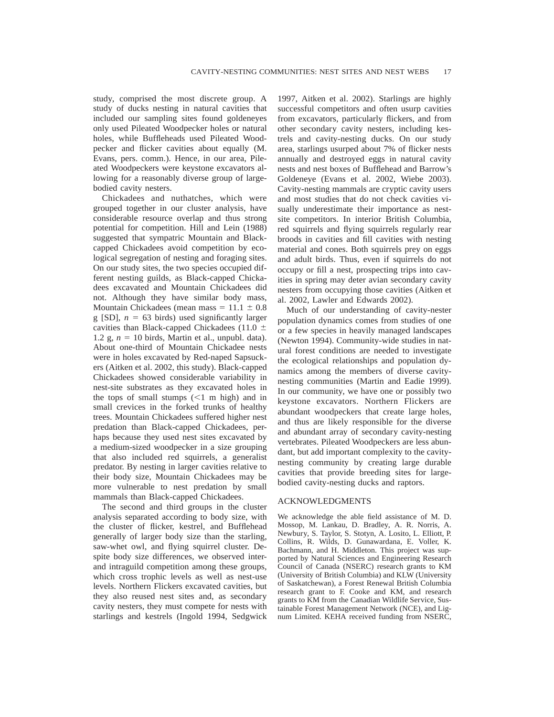study, comprised the most discrete group. A study of ducks nesting in natural cavities that included our sampling sites found goldeneyes only used Pileated Woodpecker holes or natural holes, while Buffleheads used Pileated Woodpecker and flicker cavities about equally (M. Evans, pers. comm.). Hence, in our area, Pileated Woodpeckers were keystone excavators allowing for a reasonably diverse group of largebodied cavity nesters.

Chickadees and nuthatches, which were grouped together in our cluster analysis, have considerable resource overlap and thus strong potential for competition. Hill and Lein (1988) suggested that sympatric Mountain and Blackcapped Chickadees avoid competition by ecological segregation of nesting and foraging sites. On our study sites, the two species occupied different nesting guilds, as Black-capped Chickadees excavated and Mountain Chickadees did not. Although they have similar body mass, Mountain Chickadees (mean mass =  $11.1 \pm 0.8$ g [SD],  $n = 63$  birds) used significantly larger cavities than Black-capped Chickadees (11.0  $\pm$ 1.2 g,  $n = 10$  birds, Martin et al., unpubl. data). About one-third of Mountain Chickadee nests were in holes excavated by Red-naped Sapsuckers (Aitken et al. 2002, this study). Black-capped Chickadees showed considerable variability in nest-site substrates as they excavated holes in the tops of small stumps  $(\leq 1$  m high) and in small crevices in the forked trunks of healthy trees. Mountain Chickadees suffered higher nest predation than Black-capped Chickadees, perhaps because they used nest sites excavated by a medium-sized woodpecker in a size grouping that also included red squirrels, a generalist predator. By nesting in larger cavities relative to their body size, Mountain Chickadees may be more vulnerable to nest predation by small mammals than Black-capped Chickadees.

The second and third groups in the cluster analysis separated according to body size, with the cluster of flicker, kestrel, and Bufflehead generally of larger body size than the starling, saw-whet owl, and flying squirrel cluster. Despite body size differences, we observed interand intraguild competition among these groups, which cross trophic levels as well as nest-use levels. Northern Flickers excavated cavities, but they also reused nest sites and, as secondary cavity nesters, they must compete for nests with starlings and kestrels (Ingold 1994, Sedgwick

1997, Aitken et al. 2002). Starlings are highly successful competitors and often usurp cavities from excavators, particularly flickers, and from other secondary cavity nesters, including kestrels and cavity-nesting ducks. On our study area, starlings usurped about 7% of flicker nests annually and destroyed eggs in natural cavity nests and nest boxes of Bufflehead and Barrow's Goldeneye (Evans et al. 2002, Wiebe 2003). Cavity-nesting mammals are cryptic cavity users and most studies that do not check cavities visually underestimate their importance as nestsite competitors. In interior British Columbia, red squirrels and flying squirrels regularly rear broods in cavities and fill cavities with nesting material and cones. Both squirrels prey on eggs and adult birds. Thus, even if squirrels do not occupy or fill a nest, prospecting trips into cavities in spring may deter avian secondary cavity nesters from occupying those cavities (Aitken et al. 2002, Lawler and Edwards 2002).

Much of our understanding of cavity-nester population dynamics comes from studies of one or a few species in heavily managed landscapes (Newton 1994). Community-wide studies in natural forest conditions are needed to investigate the ecological relationships and population dynamics among the members of diverse cavitynesting communities (Martin and Eadie 1999). In our community, we have one or possibly two keystone excavators. Northern Flickers are abundant woodpeckers that create large holes, and thus are likely responsible for the diverse and abundant array of secondary cavity-nesting vertebrates. Pileated Woodpeckers are less abundant, but add important complexity to the cavitynesting community by creating large durable cavities that provide breeding sites for largebodied cavity-nesting ducks and raptors.

#### ACKNOWLEDGMENTS

We acknowledge the able field assistance of M. D. Mossop, M. Lankau, D. Bradley, A. R. Norris, A. Newbury, S. Taylor, S. Stotyn, A. Losito, L. Elliott, P. Collins, R. Wilds, D. Gunawardana, E. Voller, K. Bachmann, and H. Middleton. This project was supported by Natural Sciences and Engineering Research Council of Canada (NSERC) research grants to KM (University of British Columbia) and KLW (University of Saskatchewan), a Forest Renewal British Columbia research grant to F. Cooke and KM, and research grants to KM from the Canadian Wildlife Service, Sustainable Forest Management Network (NCE), and Lignum Limited. KEHA received funding from NSERC,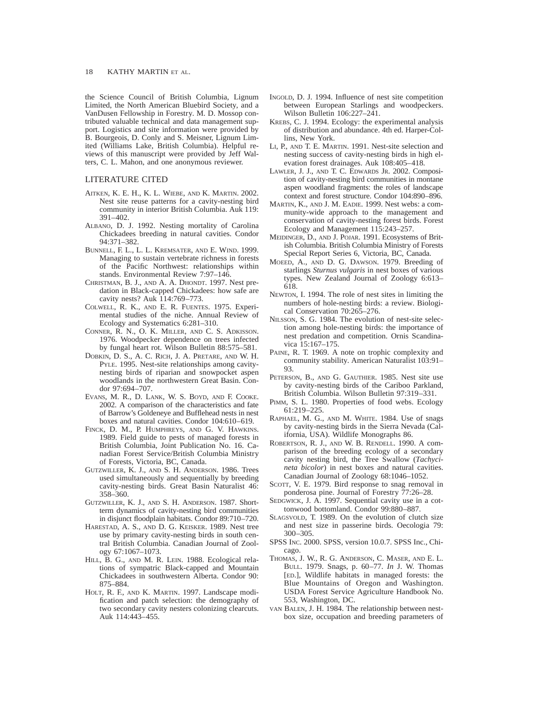the Science Council of British Columbia, Lignum Limited, the North American Bluebird Society, and a VanDusen Fellowship in Forestry. M. D. Mossop contributed valuable technical and data management support. Logistics and site information were provided by B. Bourgeois, D. Conly and S. Meisner, Lignum Limited (Williams Lake, British Columbia). Helpful reviews of this manuscript were provided by Jeff Walters, C. L. Mahon, and one anonymous reviewer.

#### LITERATURE CITED

- AITKEN, K. E. H., K. L. WIEBE, AND K. MARTIN. 2002. Nest site reuse patterns for a cavity-nesting bird community in interior British Columbia. Auk 119: 391–402.
- ALBANO, D. J. 1992. Nesting mortality of Carolina Chickadees breeding in natural cavities. Condor 94:371–382.
- BUNNELL, F. L., L. L. KREMSATER, AND E. WIND. 1999. Managing to sustain vertebrate richness in forests of the Pacific Northwest: relationships within stands. Environmental Review 7:97–146.
- CHRISTMAN, B. J., AND A. A. DHONDT. 1997. Nest predation in Black-capped Chickadees: how safe are cavity nests? Auk 114:769–773.
- COLWELL, R. K., AND E. R. FUENTES. 1975. Experimental studies of the niche. Annual Review of Ecology and Systematics 6:281–310.
- CONNER, R. N., O. K. MILLER, AND C. S. ADKISSON. 1976. Woodpecker dependence on trees infected by fungal heart rot. Wilson Bulletin 88:575–581.
- DOBKIN, D. S., A. C. RICH, J. A. PRETARE, AND W. H. PYLE. 1995. Nest-site relationships among cavitynesting birds of riparian and snowpocket aspen woodlands in the northwestern Great Basin. Condor 97:694–707.
- EVANS, M. R., D. LANK, W. S. BOYD, AND F. COOKE. 2002. A comparison of the characteristics and fate of Barrow's Goldeneye and Bufflehead nests in nest boxes and natural cavities. Condor 104:610–619.
- FINCK, D. M., P. HUMPHREYS, AND G. V. HAWKINS. 1989. Field guide to pests of managed forests in British Columbia, Joint Publication No. 16. Canadian Forest Service/British Columbia Ministry of Forests, Victoria, BC, Canada.
- GUTZWILLER, K. J., AND S. H. ANDERSON. 1986. Trees used simultaneously and sequentially by breeding cavity-nesting birds. Great Basin Naturalist 46: 358–360.
- GUTZWILLER, K. J., AND S. H. ANDERSON. 1987. Shortterm dynamics of cavity-nesting bird communities in disjunct floodplain habitats. Condor 89:710–720.
- HARESTAD, A. S., AND D. G. KEISKER. 1989. Nest tree use by primary cavity-nesting birds in south central British Columbia. Canadian Journal of Zoology 67:1067–1073.
- HILL, B. G., AND M. R. LEIN. 1988. Ecological relations of sympatric Black-capped and Mountain Chickadees in southwestern Alberta. Condor 90: 875–884.
- HOLT, R. F., AND K. MARTIN. 1997. Landscape modification and patch selection: the demography of two secondary cavity nesters colonizing clearcuts. Auk 114:443–455.
- INGOLD, D. J. 1994. Influence of nest site competition between European Starlings and woodpeckers. Wilson Bulletin 106:227–241.
- KREBS, C. J. 1994. Ecology: the experimental analysis of distribution and abundance. 4th ed. Harper-Collins, New York.
- LI, P., AND T. E. MARTIN. 1991. Nest-site selection and nesting success of cavity-nesting birds in high elevation forest drainages. Auk 108:405–418.
- LAWLER, J. J., AND T. C. EDWARDS JR. 2002. Composition of cavity-nesting bird communities in montane aspen woodland fragments: the roles of landscape context and forest structure. Condor 104:890–896.
- MARTIN, K., AND J. M. EADIE. 1999. Nest webs: a community-wide approach to the management and conservation of cavity-nesting forest birds. Forest Ecology and Management 115:243–257.
- MEIDINGER, D., AND J. POJAR. 1991. Ecosystems of British Columbia. British Columbia Ministry of Forests Special Report Series 6, Victoria, BC, Canada.
- MOEED, A., AND D. G. DAWSON. 1979. Breeding of starlings *Sturnus vulgaris* in nest boxes of various types. New Zealand Journal of Zoology 6:613– 618.
- NEWTON, I. 1994. The role of nest sites in limiting the numbers of hole-nesting birds: a review. Biological Conservation 70:265–276.
- NILSSON, S. G. 1984. The evolution of nest-site selection among hole-nesting birds: the importance of nest predation and competition. Ornis Scandinavica 15:167–175.
- PAINE, R. T. 1969. A note on trophic complexity and community stability. American Naturalist 103:91– 93.
- PETERSON, B., AND G. GAUTHIER. 1985. Nest site use by cavity-nesting birds of the Cariboo Parkland, British Columbia. Wilson Bulletin 97:319–331.
- PIMM, S. L. 1980. Properties of food webs. Ecology 61:219–225.
- RAPHAEL, M. G., AND M. WHITE. 1984. Use of snags by cavity-nesting birds in the Sierra Nevada (California, USA). Wildlife Monographs 86.
- ROBERTSON, R. J., AND W. B. RENDELL. 1990. A comparison of the breeding ecology of a secondary cavity nesting bird, the Tree Swallow (*Tachycineta bicolor*) in nest boxes and natural cavities. Canadian Journal of Zoology 68:1046–1052.
- SCOTT, V. E. 1979. Bird response to snag removal in ponderosa pine. Journal of Forestry 77:26–28.
- SEDGWICK, J. A. 1997. Sequential cavity use in a cottonwood bottomland. Condor 99:880–887.
- SLAGSVOLD, T. 1989. On the evolution of clutch size and nest size in passerine birds. Oecologia 79: 300–305.
- SPSS INC. 2000. SPSS, version 10.0.7. SPSS Inc., Chicago.
- THOMAS, J. W., R. G. ANDERSON, C. MASER, AND E. L. BULL. 1979. Snags, p. 60–77. *In* J. W. Thomas [ED.], Wildlife habitats in managed forests: the Blue Mountains of Oregon and Washington. USDA Forest Service Agriculture Handbook No. 553, Washington, DC.
- VAN BALEN, J. H. 1984. The relationship between nestbox size, occupation and breeding parameters of